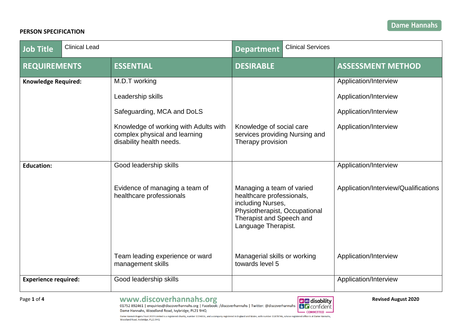## **PERSON SPECIFICATION**

| <b>Job Title</b>            | <b>Clinical Lead</b> |                                                                                                    | <b>Department</b>                                                                                                                                               | <b>Clinical Services</b> |                                      |
|-----------------------------|----------------------|----------------------------------------------------------------------------------------------------|-----------------------------------------------------------------------------------------------------------------------------------------------------------------|--------------------------|--------------------------------------|
| <b>REQUIREMENTS</b>         |                      | <b>ESSENTIAL</b>                                                                                   | <b>DESIRABLE</b>                                                                                                                                                |                          | <b>ASSESSMENT METHOD</b>             |
| <b>Knowledge Required:</b>  |                      | M.D.T working                                                                                      |                                                                                                                                                                 |                          | Application/Interview                |
|                             |                      | Leadership skills                                                                                  |                                                                                                                                                                 |                          | Application/Interview                |
|                             |                      | Safeguarding, MCA and DoLS                                                                         |                                                                                                                                                                 |                          | Application/Interview                |
|                             |                      | Knowledge of working with Adults with<br>complex physical and learning<br>disability health needs. | Knowledge of social care<br>services providing Nursing and<br>Therapy provision                                                                                 |                          | Application/Interview                |
| <b>Education:</b>           |                      | Good leadership skills                                                                             |                                                                                                                                                                 |                          | Application/Interview                |
|                             |                      | Evidence of managing a team of<br>healthcare professionals                                         | Managing a team of varied<br>healthcare professionals,<br>including Nurses,<br>Physiotherapist, Occupational<br>Therapist and Speech and<br>Language Therapist. |                          | Application/Interview/Qualifications |
|                             |                      | Team leading experience or ward<br>management skills                                               | Managerial skills or working<br>towards level 5                                                                                                                 |                          | Application/Interview                |
| <b>Experience required:</b> |                      | Good leadership skills                                                                             |                                                                                                                                                                 |                          | Application/Interview                |

Page 1 of 4 **1996 COVERS AUGE AUGE ACCOVERS**<br>01752 892461 | enquiries@discoverhannahs.org | Facebook: /discoverhannahs | Twitter: @discoverhannahs | **B** CONfident Dame Hannahs, Woodland Road, Ivybridge, PL21 9HQ

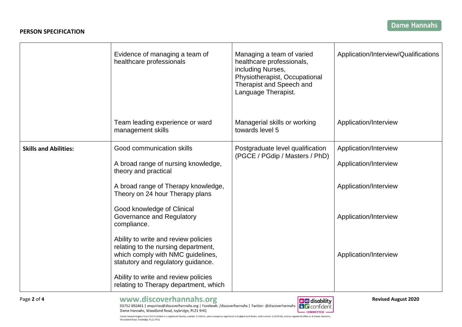|                              | Evidence of managing a team of<br>healthcare professionals                                                                                             | Managing a team of varied<br>healthcare professionals,<br>including Nurses,<br>Physiotherapist, Occupational<br>Therapist and Speech and<br>Language Therapist. | Application/Interview/Qualifications |
|------------------------------|--------------------------------------------------------------------------------------------------------------------------------------------------------|-----------------------------------------------------------------------------------------------------------------------------------------------------------------|--------------------------------------|
|                              | Team leading experience or ward<br>management skills                                                                                                   | Managerial skills or working<br>towards level 5                                                                                                                 | Application/Interview                |
| <b>Skills and Abilities:</b> | Good communication skills                                                                                                                              | Postgraduate level qualification<br>(PGCE / PGdip / Masters / PhD)                                                                                              | Application/Interview                |
|                              | A broad range of nursing knowledge,<br>theory and practical                                                                                            |                                                                                                                                                                 | Application/Interview                |
|                              | A broad range of Therapy knowledge,<br>Theory on 24 hour Therapy plans                                                                                 |                                                                                                                                                                 | Application/Interview                |
|                              | Good knowledge of Clinical<br>Governance and Regulatory<br>compliance.                                                                                 |                                                                                                                                                                 | Application/Interview                |
|                              | Ability to write and review policies<br>relating to the nursing department,<br>which comply with NMC guidelines,<br>statutory and regulatory guidance. |                                                                                                                                                                 | Application/Interview                |
|                              | Ability to write and review policies<br>relating to Therapy department, which                                                                          |                                                                                                                                                                 |                                      |

Page 2 of 4 **1995 1996 1997 1997 1997 1998 1997 1998 1999 1999 1999 1999 1999 1999 1999 1999 1999 1999 1999 1999 1999 1999 1999 1999 1999 1999 1999 1999 1999 1999** Dame Hannahs, Woodland Road, Ivybridge, PL21 9HQ

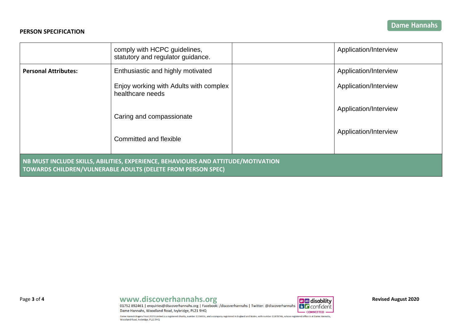### **PERSON SPECIFICATION**

|                                                                                                                                                   | comply with HCPC guidelines,<br>statutory and regulator guidance. |  | Application/Interview |  |  |  |
|---------------------------------------------------------------------------------------------------------------------------------------------------|-------------------------------------------------------------------|--|-----------------------|--|--|--|
| <b>Personal Attributes:</b>                                                                                                                       | Enthusiastic and highly motivated                                 |  | Application/Interview |  |  |  |
|                                                                                                                                                   | Enjoy working with Adults with complex<br>healthcare needs        |  | Application/Interview |  |  |  |
|                                                                                                                                                   | Caring and compassionate                                          |  | Application/Interview |  |  |  |
|                                                                                                                                                   | Committed and flexible                                            |  | Application/Interview |  |  |  |
| NB MUST INCLUDE SKILLS, ABILITIES, EXPERIENCE, BEHAVIOURS AND ATTITUDE/MOTIVATION<br>TOWARDS CHILDREN/VULNERABLE ADULTS (DELETE FROM PERSON SPEC) |                                                                   |  |                       |  |  |  |

# Page 3 of 4 **1995 1996 1997 1997 1997 1998 1997 1998 1999 1999 1999 1999 1999 1999 1999 1999 1999 1999 1999 1999 1999 1999 1999 1999 1999 1999 1999 1999 1999 1999**

Dame Hannahs, Woodland Road, Ivybridge, PL21 9HQ

**BE** confident  $-$  COMMITTED  $-$